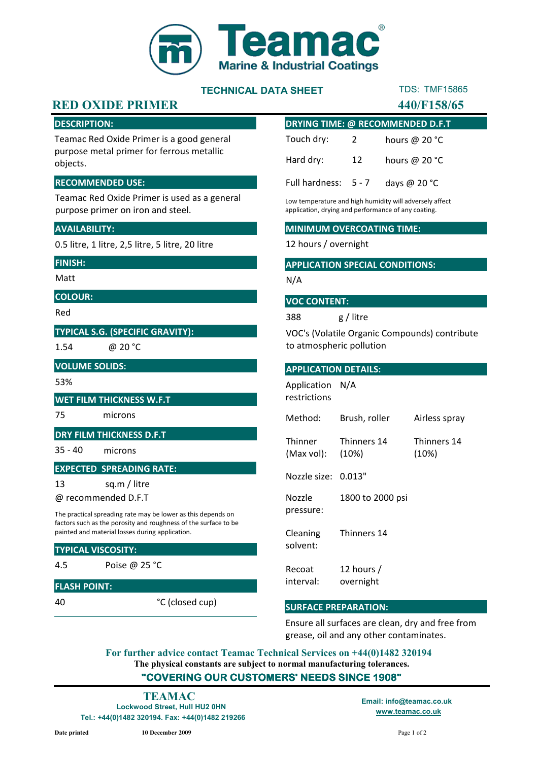

# TECHNICAL DATA SHEET

# TDS: TMF15865

# RED OXIDE PRIMER 440/F158/65

#### DESCRIPTION:

Teamac Red Oxide Primer is a good general purpose metal primer for ferrous metallic objects.

#### RECOMMENDED USE:

Teamac Red Oxide Primer is used as a general purpose primer on iron and steel.

#### AVAILABILITY:

0.5 litre, 1 litre, 2,5 litre, 5 litre, 20 litre

#### FINISH:

Matt

#### COLOUR:

Red

#### TYPICAL S.G. (SPECIFIC GRAVITY):

1.54

@ 20 °C

#### VOLUME SOLIDS:

53%

#### WET FILM THICKNESS W.F.T

## 75 microns

#### DRY FILM THICKNESS D.F.T

35 - 40 microns

#### EXPECTED SPREADING RATE:

13 sq.m / litre

@ recommended D.F.T

The practical spreading rate may be lower as this depends on factors such as the porosity and roughness of the surface to be painted and material losses during application.

#### TYPICAL VISCOSITY:

4.5 Poise @ 25 °C

#### FLASH POINT:

40

°C (closed cup)

| <b>DRYING TIME: @ RECOMMENDED D.F.T</b> |                         |                 |
|-----------------------------------------|-------------------------|-----------------|
| Touch dry:                              | $\overline{\mathbf{2}}$ | hours @ $20 °C$ |
| Hard dry:                               | 12                      | hours @ $20 °C$ |
| Full hardness: 5 - 7                    |                         | days @ $20 °C$  |

Low temperature and high humidity will adversely affect application, drying and performance of any coating.

#### MINIMUM OVERCOATING TIME:

12 hours / overnight

#### APPLICATION SPECIAL CONDITIONS:

N/A

#### VOC CONTENT:

388 g / litre

VOC's (Volatile Organic Compounds) contribute to atmospheric pollution

#### APPLICATION DETAILS:

Method: Brush, roller Airless spray **Thinner** (Max vol): Thinners 14 (10%) Thinners 14 (10%) Nozzle size: 0.013" Nozzle pressure: 1800 to 2000 psi Cleaning solvent: Thinners 14 Recoat interval: 12 hours / overnight Application restrictions N/A

#### SURFACE PREPARATION:

Ensure all surfaces are clean, dry and free from grease, oil and any other contaminates.

The physical constants are subject to normal manufacturing tolerances. "COVERING OUR CUSTOMERS' NEEDS SINCE 1908" For further advice contact Teamac Technical Services on +44(0)1482 320194

Lockwood Street, Hull HU2 0HN Tel.: +44(0)1482 320194. Fax: +44(0)1482 219266 TEAMAC Email: info@teamac.co.uk

www.teamac.co.uk